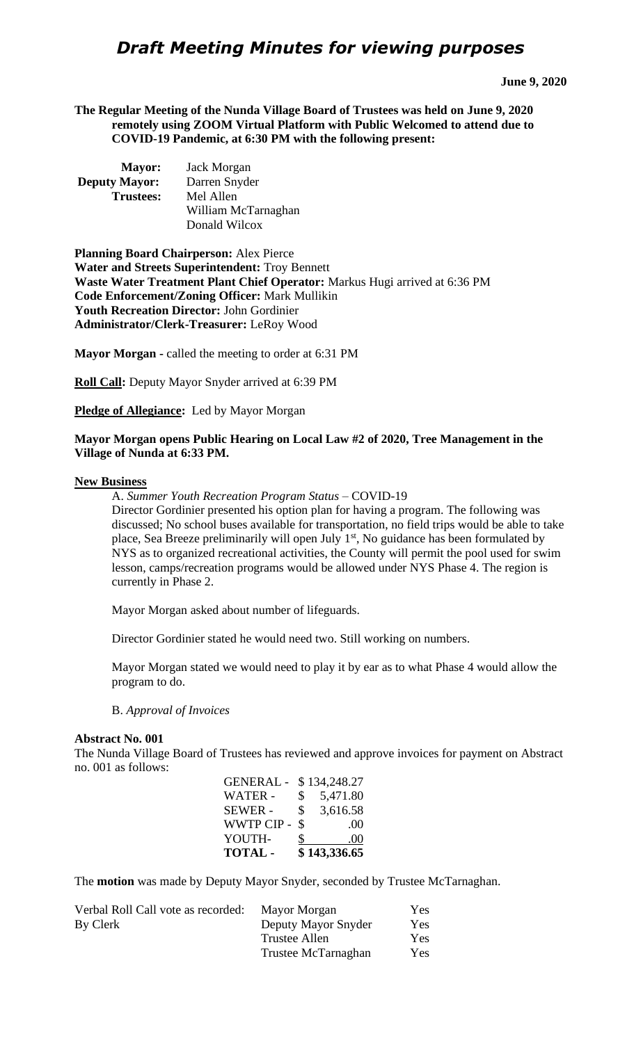# *Draft Meeting Minutes for viewing purposes*

**The Regular Meeting of the Nunda Village Board of Trustees was held on June 9, 2020 remotely using ZOOM Virtual Platform with Public Welcomed to attend due to COVID-19 Pandemic, at 6:30 PM with the following present:**

| <b>Mayor:</b>        | Jack Morgan         |
|----------------------|---------------------|
| <b>Deputy Mayor:</b> | Darren Snyder       |
| <b>Trustees:</b>     | Mel Allen           |
|                      | William McTarnaghan |
|                      | Donald Wilcox       |

**Planning Board Chairperson:** Alex Pierce **Water and Streets Superintendent:** Troy Bennett **Waste Water Treatment Plant Chief Operator:** Markus Hugi arrived at 6:36 PM **Code Enforcement/Zoning Officer:** Mark Mullikin **Youth Recreation Director:** John Gordinier **Administrator/Clerk-Treasurer:** LeRoy Wood

**Mayor Morgan -** called the meeting to order at 6:31 PM

**Roll Call:** Deputy Mayor Snyder arrived at 6:39 PM

**Pledge of Allegiance:** Led by Mayor Morgan

#### **Mayor Morgan opens Public Hearing on Local Law #2 of 2020, Tree Management in the Village of Nunda at 6:33 PM.**

#### **New Business**

A. *Summer Youth Recreation Program Status* – COVID-19

Director Gordinier presented his option plan for having a program. The following was discussed; No school buses available for transportation, no field trips would be able to take place, Sea Breeze preliminarily will open July  $1<sup>st</sup>$ , No guidance has been formulated by NYS as to organized recreational activities, the County will permit the pool used for swim lesson, camps/recreation programs would be allowed under NYS Phase 4. The region is currently in Phase 2.

Mayor Morgan asked about number of lifeguards.

Director Gordinier stated he would need two. Still working on numbers.

Mayor Morgan stated we would need to play it by ear as to what Phase 4 would allow the program to do.

B. *Approval of Invoices*

#### **Abstract No. 001**

The Nunda Village Board of Trustees has reviewed and approve invoices for payment on Abstract no. 001 as follows:

| <b>TOTAL -</b>   |              | \$143,336.65     |
|------------------|--------------|------------------|
| YOUTH-           | \$           | .00              |
| <b>WWTP CIP-</b> | \$           | .00 <sub>1</sub> |
| <b>SEWER -</b>   | \$           | 3,616.58         |
| WATER -          | $\mathbb{S}$ | 5,471.80         |
| <b>GENERAL -</b> |              | \$134,248.27     |

The **motion** was made by Deputy Mayor Snyder, seconded by Trustee McTarnaghan.

| Mayor Morgan        | Yes |
|---------------------|-----|
| Deputy Mayor Snyder | Yes |
| Trustee Allen       | Yes |
| Trustee McTarnaghan | Yes |
|                     |     |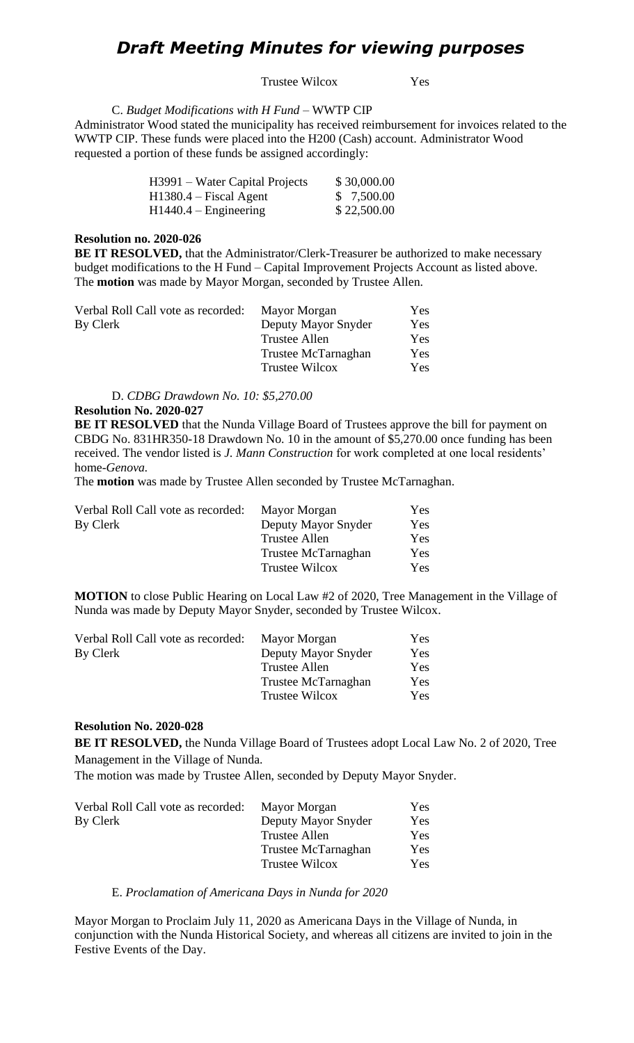## *Draft Meeting Minutes for viewing purposes*

Trustee Wilcox Yes

C. *Budget Modifications with H Fund* – WWTP CIP Administrator Wood stated the municipality has received reimbursement for invoices related to the WWTP CIP. These funds were placed into the H200 (Cash) account. Administrator Wood requested a portion of these funds be assigned accordingly:

| H3991 – Water Capital Projects | \$30,000.00 |
|--------------------------------|-------------|
| H1380.4 – Fiscal Agent         | \$7,500.00  |
| $H1440.4 - Engineering$        | \$22,500.00 |

## **Resolution no. 2020-026**

**BE IT RESOLVED,** that the Administrator/Clerk-Treasurer be authorized to make necessary budget modifications to the H Fund – Capital Improvement Projects Account as listed above. The **motion** was made by Mayor Morgan, seconded by Trustee Allen.

| Verbal Roll Call vote as recorded: | Mayor Morgan          | Yes |
|------------------------------------|-----------------------|-----|
| By Clerk                           | Deputy Mayor Snyder   | Yes |
|                                    | Trustee Allen         | Yes |
|                                    | Trustee McTarnaghan   | Yes |
|                                    | <b>Trustee Wilcox</b> | Yes |

D. *CDBG Drawdown No. 10: \$5,270.00*

#### **Resolution No. 2020-027**

**BE IT RESOLVED** that the Nunda Village Board of Trustees approve the bill for payment on CBDG No. 831HR350-18 Drawdown No. 10 in the amount of \$5,270.00 once funding has been received. The vendor listed is *J. Mann Construction* for work completed at one local residents' home-*Genova.*

The **motion** was made by Trustee Allen seconded by Trustee McTarnaghan.

| Verbal Roll Call vote as recorded: | Mayor Morgan          | Yes |
|------------------------------------|-----------------------|-----|
| By Clerk                           | Deputy Mayor Snyder   | Yes |
|                                    | Trustee Allen         | Yes |
|                                    | Trustee McTarnaghan   | Yes |
|                                    | <b>Trustee Wilcox</b> | Yes |
|                                    |                       |     |

**MOTION** to close Public Hearing on Local Law #2 of 2020, Tree Management in the Village of Nunda was made by Deputy Mayor Snyder, seconded by Trustee Wilcox.

| Verbal Roll Call vote as recorded: | Mayor Morgan          | Yes |
|------------------------------------|-----------------------|-----|
| By Clerk                           | Deputy Mayor Snyder   | Yes |
|                                    | Trustee Allen         | Yes |
|                                    | Trustee McTarnaghan   | Yes |
|                                    | <b>Trustee Wilcox</b> | Yes |

## **Resolution No. 2020-028**

**BE IT RESOLVED,** the Nunda Village Board of Trustees adopt Local Law No. 2 of 2020, Tree Management in the Village of Nunda.

The motion was made by Trustee Allen, seconded by Deputy Mayor Snyder.

| Verbal Roll Call vote as recorded: | Mayor Morgan          | <b>Yes</b> |
|------------------------------------|-----------------------|------------|
| By Clerk                           | Deputy Mayor Snyder   | Yes        |
|                                    | Trustee Allen         | Yes        |
|                                    | Trustee McTarnaghan   | Yes        |
|                                    | <b>Trustee Wilcox</b> | Yes        |

#### E. *Proclamation of Americana Days in Nunda for 2020*

Mayor Morgan to Proclaim July 11, 2020 as Americana Days in the Village of Nunda, in conjunction with the Nunda Historical Society, and whereas all citizens are invited to join in the Festive Events of the Day.